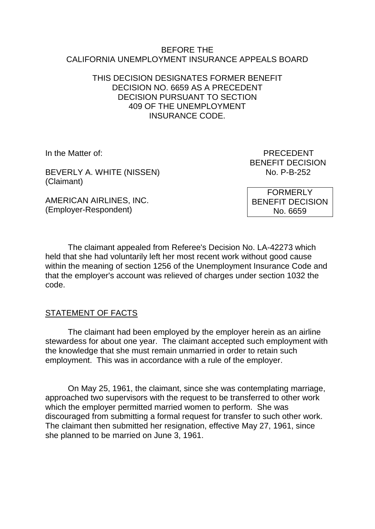#### BEFORE THE CALIFORNIA UNEMPLOYMENT INSURANCE APPEALS BOARD

### THIS DECISION DESIGNATES FORMER BENEFIT DECISION NO. 6659 AS A PRECEDENT DECISION PURSUANT TO SECTION 409 OF THE UNEMPLOYMENT INSURANCE CODE.

BEVERLY A. WHITE (NISSEN) (Claimant)

AMERICAN AIRLINES, INC. (Employer-Respondent)

In the Matter of: PRECEDENT BENEFIT DECISION<br>No. P-B-252

> FORMERLY BENEFIT DECISION No. 6659

The claimant appealed from Referee's Decision No. LA-42273 which held that she had voluntarily left her most recent work without good cause within the meaning of section 1256 of the Unemployment Insurance Code and that the employer's account was relieved of charges under section 1032 the code.

# STATEMENT OF FACTS

The claimant had been employed by the employer herein as an airline stewardess for about one year. The claimant accepted such employment with the knowledge that she must remain unmarried in order to retain such employment. This was in accordance with a rule of the employer.

On May 25, 1961, the claimant, since she was contemplating marriage, approached two supervisors with the request to be transferred to other work which the employer permitted married women to perform. She was discouraged from submitting a formal request for transfer to such other work. The claimant then submitted her resignation, effective May 27, 1961, since she planned to be married on June 3, 1961.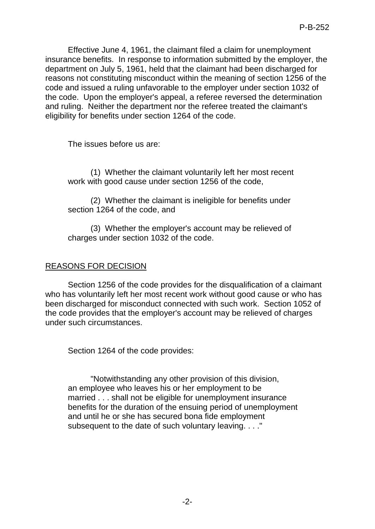Effective June 4, 1961, the claimant filed a claim for unemployment insurance benefits. In response to information submitted by the employer, the department on July 5, 1961, held that the claimant had been discharged for reasons not constituting misconduct within the meaning of section 1256 of the code and issued a ruling unfavorable to the employer under section 1032 of the code. Upon the employer's appeal, a referee reversed the determination and ruling. Neither the department nor the referee treated the claimant's eligibility for benefits under section 1264 of the code.

The issues before us are:

(1) Whether the claimant voluntarily left her most recent work with good cause under section 1256 of the code,

(2) Whether the claimant is ineligible for benefits under section 1264 of the code, and

(3) Whether the employer's account may be relieved of charges under section 1032 of the code.

# REASONS FOR DECISION

Section 1256 of the code provides for the disqualification of a claimant who has voluntarily left her most recent work without good cause or who has been discharged for misconduct connected with such work. Section 1052 of the code provides that the employer's account may be relieved of charges under such circumstances.

Section 1264 of the code provides:

"Notwithstanding any other provision of this division, an employee who leaves his or her employment to be married . . . shall not be eligible for unemployment insurance benefits for the duration of the ensuing period of unemployment and until he or she has secured bona fide employment subsequent to the date of such voluntary leaving. . . ."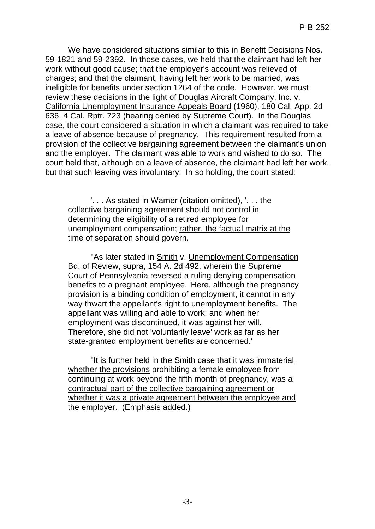We have considered situations similar to this in Benefit Decisions Nos. 59-1821 and 59-2392. In those cases, we held that the claimant had left her work without good cause; that the employer's account was relieved of charges; and that the claimant, having left her work to be married, was ineligible for benefits under section 1264 of the code. However, we must review these decisions in the light of Douglas Aircraft Company, Inc. v. California Unemployment Insurance Appeals Board (1960), 180 Cal. App. 2d 636, 4 Cal. Rptr. 723 (hearing denied by Supreme Court). In the Douglas case, the court considered a situation in which a claimant was required to take a leave of absence because of pregnancy. This requirement resulted from a provision of the collective bargaining agreement between the claimant's union and the employer. The claimant was able to work and wished to do so. The court held that, although on a leave of absence, the claimant had left her work, but that such leaving was involuntary. In so holding, the court stated:

'. . . As stated in Warner (citation omitted), '. . . the collective bargaining agreement should not control in determining the eligibility of a retired employee for unemployment compensation; rather, the factual matrix at the time of separation should govern.

"As later stated in Smith v. Unemployment Compensation Bd. of Review, supra, 154 A. 2d 492, wherein the Supreme Court of Pennsylvania reversed a ruling denying compensation benefits to a pregnant employee, 'Here, although the pregnancy provision is a binding condition of employment, it cannot in any way thwart the appellant's right to unemployment benefits. The appellant was willing and able to work; and when her employment was discontinued, it was against her will. Therefore, she did not 'voluntarily leave' work as far as her state-granted employment benefits are concerned.'

"It is further held in the Smith case that it was immaterial whether the provisions prohibiting a female employee from continuing at work beyond the fifth month of pregnancy, was a contractual part of the collective bargaining agreement or whether it was a private agreement between the employee and the employer. (Emphasis added.)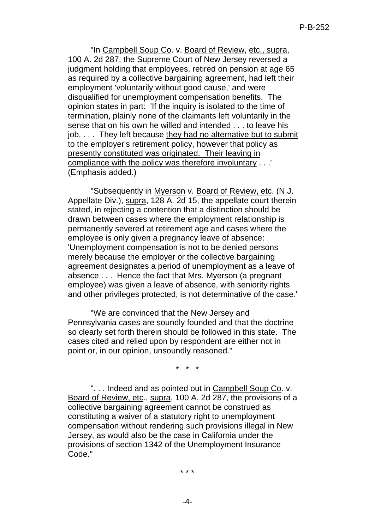"In Campbell Soup Co. v. Board of Review, etc., supra, 100 A. 2d 287, the Supreme Court of New Jersey reversed a judgment holding that employees, retired on pension at age 65 as required by a collective bargaining agreement, had left their employment 'voluntarily without good cause,' and were disqualified for unemployment compensation benefits. The opinion states in part: 'If the inquiry is isolated to the time of termination, plainly none of the claimants left voluntarily in the sense that on his own he willed and intended . . . to leave his job. . . . They left because they had no alternative but to submit to the employer's retirement policy, however that policy as presently constituted was originated. Their leaving in compliance with the policy was therefore involuntary . . .' (Emphasis added.)

"Subsequently in Myerson v. Board of Review, etc. (N.J. Appellate Div.), supra, 128 A. 2d 15, the appellate court therein stated, in rejecting a contention that a distinction should be drawn between cases where the employment relationship is permanently severed at retirement age and cases where the employee is only given a pregnancy leave of absence: 'Unemployment compensation is not to be denied persons merely because the employer or the collective bargaining agreement designates a period of unemployment as a leave of absence . . . Hence the fact that Mrs. Myerson (a pregnant employee) was given a leave of absence, with seniority rights and other privileges protected, is not determinative of the case.'

"We are convinced that the New Jersey and Pennsylvania cases are soundly founded and that the doctrine so clearly set forth therein should be followed in this state. The cases cited and relied upon by respondent are either not in point or, in our opinion, unsoundly reasoned."

\* \* \*

"... Indeed and as pointed out in Campbell Soup Co. v. Board of Review, etc., supra, 100 A. 2d 287, the provisions of a collective bargaining agreement cannot be construed as constituting a waiver of a statutory right to unemployment compensation without rendering such provisions illegal in New Jersey, as would also be the case in California under the provisions of section 1342 of the Unemployment Insurance Code."

\* \* \*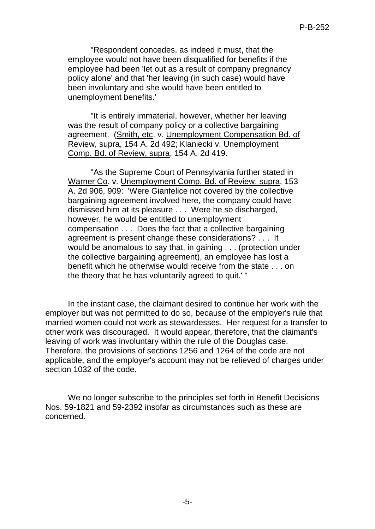"Respondent concedes, as indeed it must, that the employee would not have been disqualified for benefits if the employee had been 'let out as a result of company pregnancy policy alone' and that 'her leaving (in such case) would have been involuntary and she would have been entitled to unemployment benefits.'

"It is entirely immaterial, however, whether her leaving was the result of company policy or a collective bargaining agreement. (Smith, etc. v. Unemployment Compensation Bd. of Review, supra, 154 A. 2d 492; Klaniecki v. Unemployment Comp. Bd. of Review, supra, 154 A. 2d 419.

"As the Supreme Court of Pennsylvania further stated in Warner Co. v. Unemployment Comp. Bd. of Review, supra, 153 A. 2d 906, 909: 'Were Gianfelice not covered by the collective bargaining agreement involved here, the company could have dismissed him at its pleasure . . . Were he so discharged, however, he would be entitled to unemployment compensation . . . Does the fact that a collective bargaining agreement is present change these considerations? . . . It would be anomalous to say that, in gaining . . . (protection under the collective bargaining agreement), an employee has lost a benefit which he otherwise would receive from the state . . . on the theory that he has voluntarily agreed to quit.' "

In the instant case, the claimant desired to continue her work with the employer but was not permitted to do so, because of the employer's rule that married women could not work as stewardesses. Her request for a transfer to other work was discouraged. It would appear, therefore, that the claimant's leaving of work was involuntary within the rule of the Douglas case. Therefore, the provisions of sections 1256 and 1264 of the code are not applicable, and the employer's account may not be relieved of charges under section 1032 of the code.

We no longer subscribe to the principles set forth in Benefit Decisions Nos. 59-1821 and 59-2392 insofar as circumstances such as these are concerned.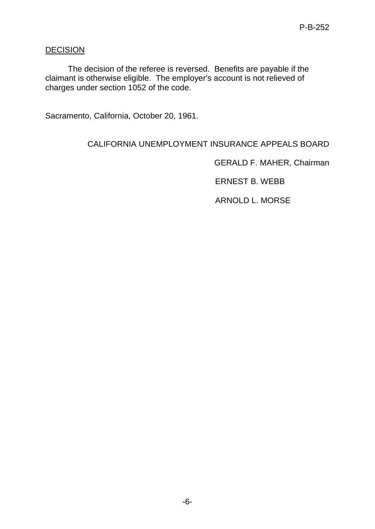### **DECISION**

The decision of the referee is reversed. Benefits are payable if the claimant is otherwise eligible. The employer's account is not relieved of charges under section 1052 of the code.

Sacramento, California, October 20, 1961.

# CALIFORNIA UNEMPLOYMENT INSURANCE APPEALS BOARD

GERALD F. MAHER, Chairman

ERNEST B. WEBB

ARNOLD L. MORSE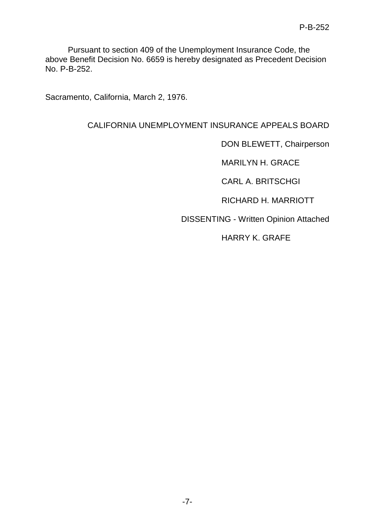Pursuant to section 409 of the Unemployment Insurance Code, the above Benefit Decision No. 6659 is hereby designated as Precedent Decision No. P-B-252.

Sacramento, California, March 2, 1976.

### CALIFORNIA UNEMPLOYMENT INSURANCE APPEALS BOARD

DON BLEWETT, Chairperson

MARILYN H. GRACE

CARL A. BRITSCHGI

RICHARD H. MARRIOTT

DISSENTING - Written Opinion Attached

HARRY K. GRAFE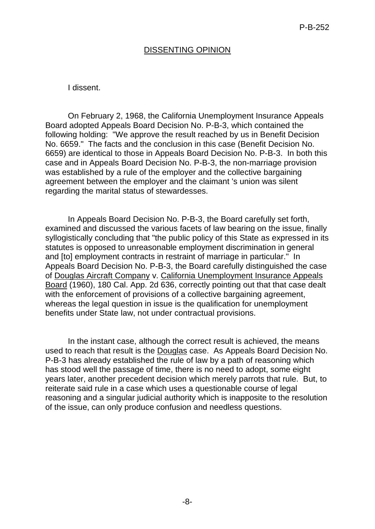### DISSENTING OPINION

#### I dissent.

On February 2, 1968, the California Unemployment Insurance Appeals Board adopted Appeals Board Decision No. P-B-3, which contained the following holding: "We approve the result reached by us in Benefit Decision No. 6659." The facts and the conclusion in this case (Benefit Decision No. 6659) are identical to those in Appeals Board Decision No. P-B-3. In both this case and in Appeals Board Decision No. P-B-3, the non-marriage provision was established by a rule of the employer and the collective bargaining agreement between the employer and the claimant 's union was silent regarding the marital status of stewardesses.

In Appeals Board Decision No. P-B-3, the Board carefully set forth, examined and discussed the various facets of law bearing on the issue, finally syllogistically concluding that "the public policy of this State as expressed in its statutes is opposed to unreasonable employment discrimination in general and [to] employment contracts in restraint of marriage in particular." In Appeals Board Decision No. P-B-3, the Board carefully distinguished the case of Douglas Aircraft Company v. California Unemployment Insurance Appeals Board (1960), 180 Cal. App. 2d 636, correctly pointing out that that case dealt with the enforcement of provisions of a collective bargaining agreement, whereas the legal question in issue is the qualification for unemployment benefits under State law, not under contractual provisions.

In the instant case, although the correct result is achieved, the means used to reach that result is the Douglas case. As Appeals Board Decision No. P-B-3 has already established the rule of law by a path of reasoning which has stood well the passage of time, there is no need to adopt, some eight years later, another precedent decision which merely parrots that rule. But, to reiterate said rule in a case which uses a questionable course of legal reasoning and a singular judicial authority which is inapposite to the resolution of the issue, can only produce confusion and needless questions.